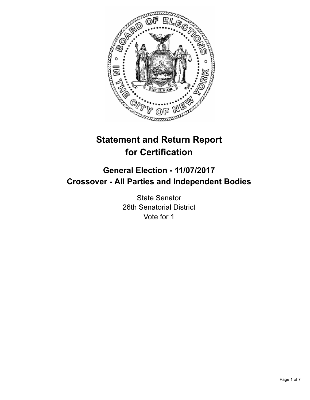

# **Statement and Return Report for Certification**

## **General Election - 11/07/2017 Crossover - All Parties and Independent Bodies**

State Senator 26th Senatorial District Vote for 1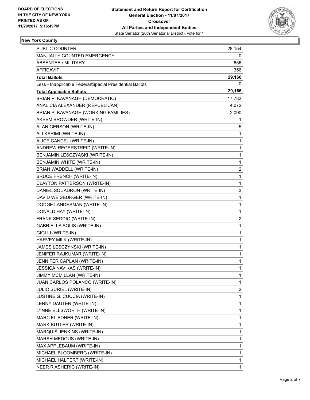

#### **New York County**

| <b>PUBLIC COUNTER</b>                                    | 28,154                  |
|----------------------------------------------------------|-------------------------|
| MANUALLY COUNTED EMERGENCY                               | 0                       |
| <b>ABSENTEE / MILITARY</b>                               | 656                     |
| AFFIDAVIT                                                | 356                     |
| <b>Total Ballots</b>                                     | 29,166                  |
| Less - Inapplicable Federal/Special Presidential Ballots | 0                       |
| <b>Total Applicable Ballots</b>                          | 29,166                  |
| BRIAN P. KAVANAGH (DEMOCRATIC)                           | 17,782                  |
| ANALICIA ALEXANDER (REPUBLICAN)                          | 4,072                   |
| BRIAN P. KAVANAGH (WORKING FAMILIES)                     | 2,090                   |
| AKEEM BROWDER (WRITE-IN)                                 | 1                       |
| ALAN GERSON (WRITE-IN)                                   | 5                       |
| ALI KARIMI (WRITE-IN)                                    | 1                       |
| ALICE CANCEL (WRITE-IN)                                  | 1                       |
| ANDREW REGERSTREID (WRITE-IN)                            | 1                       |
| BENJAMIN LESCZYASKI (WRITE-IN)                           | 1                       |
| BENJAMIN WHITE (WRITE-IN)                                | 1                       |
| BRIAN WADDELL (WRITE-IN)                                 | 2                       |
| <b>BRUCE FRENCH (WRITE-IN)</b>                           | 1                       |
| CLAYTON PATTERSON (WRITE-IN)                             | 1                       |
| DANIEL SQUADRON (WRITE-IN)                               | 3                       |
| DAVID WEISBURGER (WRITE-IN)                              | 1                       |
| DODGE LANDESMAN (WRITE-IN)                               | 1                       |
| DONALD HAY (WRITE-IN)                                    | 1                       |
| FRANK SEDDIO (WRITE-IN)                                  | 2                       |
| <b>GABRIELLA SOLIS (WRITE-IN)</b>                        | 1                       |
| GIGI LI (WRITE-IN)                                       | 1                       |
| HARVEY MILK (WRITE-IN)                                   | 1                       |
| JAMES LESCZYNSKI (WRITE-IN)                              | 1                       |
| JENIFER RAJKUMAR (WRITE-IN)                              | 1                       |
| JENNIFER CAPLAN (WRITE-IN)                               | 1                       |
| <b>JESSICA NAVIKAS (WRITE-IN)</b>                        | $\mathbf 1$             |
| JIMMY MCMILLAN (WRITE-IN)                                | 1                       |
| JUAN CARLOS POLANCO (WRITE-IN)                           | 1                       |
| JULIO SURIEL (WRITE-IN)                                  | $\overline{\mathbf{c}}$ |
| JUSTINE G. CUCCIA (WRITE-IN)                             | 1                       |
| LENNY DAUTER (WRITE-IN)                                  | 1                       |
| LYNNE ELLSWORTH (WRITE-IN)                               | 1                       |
| MARC FLIEDNER (WRITE-IN)                                 | 1                       |
| MARK BUTLER (WRITE-IN)                                   | 1                       |
| MARQUIS JENKINS (WRITE-IN)                               | 1                       |
| MARSH MEDOUS (WRITE-IN)                                  | 1                       |
| MAX APPLEBAUM (WRITE-IN)                                 | 1                       |
| MICHAEL BLOOMBERG (WRITE-IN)                             | 1                       |
| MICHAEL HALPERT (WRITE-IN)                               | 1                       |
| NEER R ASHERIC (WRITE-IN)                                | 1                       |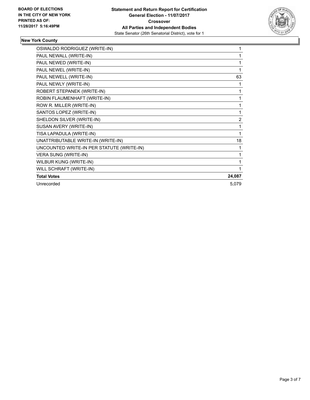

#### **New York County**

| OSWALDO RODRIGUEZ (WRITE-IN)              | 1              |
|-------------------------------------------|----------------|
| PAUL NEWALL (WRITE-IN)                    | 1              |
| PAUL NEWED (WRITE-IN)                     | 1              |
| PAUL NEWEL (WRITE-IN)                     | 1              |
| PAUL NEWELL (WRITE-IN)                    | 63             |
| PAUL NEWLY (WRITE-IN)                     | 1              |
| ROBERT STEPANEK (WRITE-IN)                | 1              |
| ROBIN FLAUMENHAFT (WRITE-IN)              | 1              |
| ROW R. MILLER (WRITE-IN)                  | 1              |
| SANTOS LOPEZ (WRITE-IN)                   | 1              |
| SHELDON SILVER (WRITE-IN)                 | $\overline{2}$ |
| SUSAN AVERY (WRITE-IN)                    | 1              |
| TISA LAPADULA (WRITE-IN)                  | 1              |
| UNATTRIBUTABLE WRITE-IN (WRITE-IN)        | 18             |
| UNCOUNTED WRITE-IN PER STATUTE (WRITE-IN) | 1              |
| VERA SUNG (WRITE-IN)                      | 1              |
| WILBUR KUNG (WRITE-IN)                    | 1              |
| WILL SCHRAFT (WRITE-IN)                   | 1              |
| <b>Total Votes</b>                        | 24,087         |
| Unrecorded                                | 5,079          |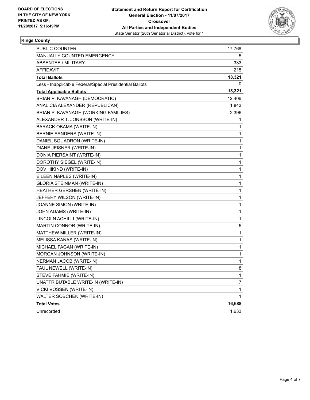

#### **Kings County**

| PUBLIC COUNTER                                           | 17,768 |
|----------------------------------------------------------|--------|
| MANUALLY COUNTED EMERGENCY                               | 5      |
| <b>ABSENTEE / MILITARY</b>                               | 333    |
| <b>AFFIDAVIT</b>                                         | 215    |
| <b>Total Ballots</b>                                     | 18,321 |
| Less - Inapplicable Federal/Special Presidential Ballots | 0      |
| <b>Total Applicable Ballots</b>                          | 18,321 |
| BRIAN P. KAVANAGH (DEMOCRATIC)                           | 12,406 |
| ANALICIA ALEXANDER (REPUBLICAN)                          | 1,843  |
| BRIAN P. KAVANAGH (WORKING FAMILIES)                     | 2,396  |
| ALEXANDER T. JONSSON (WRITE-IN)                          | 1      |
| BARACK OBAMA (WRITE-IN)                                  | 1      |
| BERNIE SANDERS (WRITE-IN)                                | 1      |
| DANIEL SQUADRON (WRITE-IN)                               | 1      |
| DIANE JEISNER (WRITE-IN)                                 | 1      |
| DONIA PIERSAINT (WRITE-IN)                               | 1      |
| DOROTHY SIEGEL (WRITE-IN)                                | 1      |
| DOV HIKIND (WRITE-IN)                                    | 1      |
| EILEEN NAPLES (WRITE-IN)                                 | 1      |
| <b>GLORIA STEINMAN (WRITE-IN)</b>                        | 1      |
| HEATHER GERSHEN (WRITE-IN)                               | 1      |
| JEFFERY WILSON (WRITE-IN)                                | 1      |
| JOANNE SIMON (WRITE-IN)                                  | 1      |
| JOHN ADAMS (WRITE-IN)                                    | 1      |
| LINCOLN ACHILLI (WRITE-IN)                               | 1      |
| MARTIN CONNOR (WRITE-IN)                                 | 5      |
| MATTHEW MILLER (WRITE-IN)                                | 1      |
| MELISSA KANAS (WRITE-IN)                                 | 1      |
| MICHAEL FAGAN (WRITE-IN)                                 | 1      |
| MORGAN JOHNSON (WRITE-IN)                                | 1      |
| NERMAN JACOB (WRITE-IN)                                  | 1      |
| PAUL NEWELL (WRITE-IN)                                   | 8      |
| STEVE FAHMIE (WRITE-IN)                                  | 1      |
| UNATTRIBUTABLE WRITE-IN (WRITE-IN)                       | 7      |
| VICKI VOSSEN (WRITE-IN)                                  | 1      |
| WALTER SOBCHEK (WRITE-IN)                                | 1      |
| <b>Total Votes</b>                                       | 16,688 |
| Unrecorded                                               | 1,633  |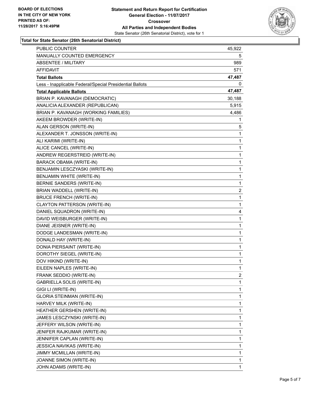

#### **Total for State Senator (26th Senatorial District)**

| <b>PUBLIC COUNTER</b>                                    | 45,922 |
|----------------------------------------------------------|--------|
| MANUALLY COUNTED EMERGENCY                               | 5      |
| <b>ABSENTEE / MILITARY</b>                               | 989    |
| AFFIDAVIT                                                | 571    |
| <b>Total Ballots</b>                                     | 47,487 |
| Less - Inapplicable Federal/Special Presidential Ballots | 0      |
| <b>Total Applicable Ballots</b>                          | 47,487 |
| BRIAN P. KAVANAGH (DEMOCRATIC)                           | 30,188 |
| ANALICIA ALEXANDER (REPUBLICAN)                          | 5,915  |
| BRIAN P. KAVANAGH (WORKING FAMILIES)                     | 4,486  |
| AKEEM BROWDER (WRITE-IN)                                 | 1      |
| ALAN GERSON (WRITE-IN)                                   | 5      |
| ALEXANDER T. JONSSON (WRITE-IN)                          | 1      |
| ALI KARIMI (WRITE-IN)                                    | 1      |
| ALICE CANCEL (WRITE-IN)                                  | 1      |
| ANDREW REGERSTREID (WRITE-IN)                            | 1      |
| <b>BARACK OBAMA (WRITE-IN)</b>                           | 1      |
| BENJAMIN LESCZYASKI (WRITE-IN)                           | 1      |
| BENJAMIN WHITE (WRITE-IN)                                | 1      |
| BERNIE SANDERS (WRITE-IN)                                | 1      |
| BRIAN WADDELL (WRITE-IN)                                 | 2      |
| <b>BRUCE FRENCH (WRITE-IN)</b>                           | 1      |
| CLAYTON PATTERSON (WRITE-IN)                             | 1      |
| DANIEL SQUADRON (WRITE-IN)                               | 4      |
| DAVID WEISBURGER (WRITE-IN)                              | 1      |
| DIANE JEISNER (WRITE-IN)                                 | 1      |
| DODGE LANDESMAN (WRITE-IN)                               | 1      |
| DONALD HAY (WRITE-IN)                                    | 1      |
| DONIA PIERSAINT (WRITE-IN)                               | 1      |
| DOROTHY SIEGEL (WRITE-IN)                                | 1      |
| DOV HIKIND (WRITE-IN)                                    | 1      |
| EILEEN NAPLES (WRITE-IN)                                 | 1      |
| FRANK SEDDIO (WRITE-IN)                                  | 2      |
| GABRIELLA SOLIS (WRITE-IN)                               | 1      |
| GIGI LI (WRITE-IN)                                       | 1      |
| GLORIA STEINMAN (WRITE-IN)                               | 1      |
| HARVEY MILK (WRITE-IN)                                   | 1      |
| HEATHER GERSHEN (WRITE-IN)                               | 1      |
| JAMES LESCZYNSKI (WRITE-IN)                              | 1      |
| JEFFERY WILSON (WRITE-IN)                                | 1      |
| JENIFER RAJKUMAR (WRITE-IN)                              | 1      |
| JENNIFER CAPLAN (WRITE-IN)                               | 1      |
| JESSICA NAVIKAS (WRITE-IN)                               | 1      |
| JIMMY MCMILLAN (WRITE-IN)                                | 1      |
| JOANNE SIMON (WRITE-IN)                                  | 1      |
| JOHN ADAMS (WRITE-IN)                                    | 1      |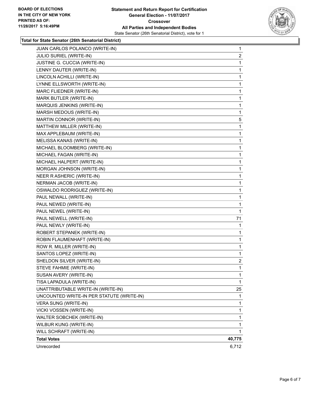

#### **Total for State Senator (26th Senatorial District)**

| MICHAEL BLOOMBERG (WRITE-IN)              | 1      |
|-------------------------------------------|--------|
|                                           |        |
| MICHAEL FAGAN (WRITE-IN)                  | 1      |
| MICHAEL HALPERT (WRITE-IN)                | 1      |
| MORGAN JOHNSON (WRITE-IN)                 | 1      |
| NEER R ASHERIC (WRITE-IN)                 | 1      |
| NERMAN JACOB (WRITE-IN)                   | 1      |
| OSWALDO RODRIGUEZ (WRITE-IN)              | 1      |
| PAUL NEWALL (WRITE-IN)                    | 1      |
| PAUL NEWED (WRITE-IN)                     | 1      |
| PAUL NEWEL (WRITE-IN)                     | 1      |
| PAUL NEWELL (WRITE-IN)                    | 71     |
| PAUL NEWLY (WRITE-IN)                     | 1      |
| ROBERT STEPANEK (WRITE-IN)                | 1      |
| ROBIN FLAUMENHAFT (WRITE-IN)              | 1      |
| ROW R. MILLER (WRITE-IN)                  | 1      |
| SANTOS LOPEZ (WRITE-IN)                   | 1      |
| SHELDON SILVER (WRITE-IN)                 | 2      |
| STEVE FAHMIE (WRITE-IN)                   | 1      |
| SUSAN AVERY (WRITE-IN)                    | 1      |
| TISA LAPADULA (WRITE-IN)                  | 1      |
| UNATTRIBUTABLE WRITE-IN (WRITE-IN)        | 25     |
| UNCOUNTED WRITE-IN PER STATUTE (WRITE-IN) | 1      |
| VERA SUNG (WRITE-IN)                      | 1      |
| VICKI VOSSEN (WRITE-IN)                   | 1      |
| WALTER SOBCHEK (WRITE-IN)                 | 1      |
| WILBUR KUNG (WRITE-IN)                    | 1      |
| WILL SCHRAFT (WRITE-IN)                   | 1.     |
| <b>Total Votes</b>                        | 40,775 |
|                                           |        |
| Unrecorded                                | 6,712  |